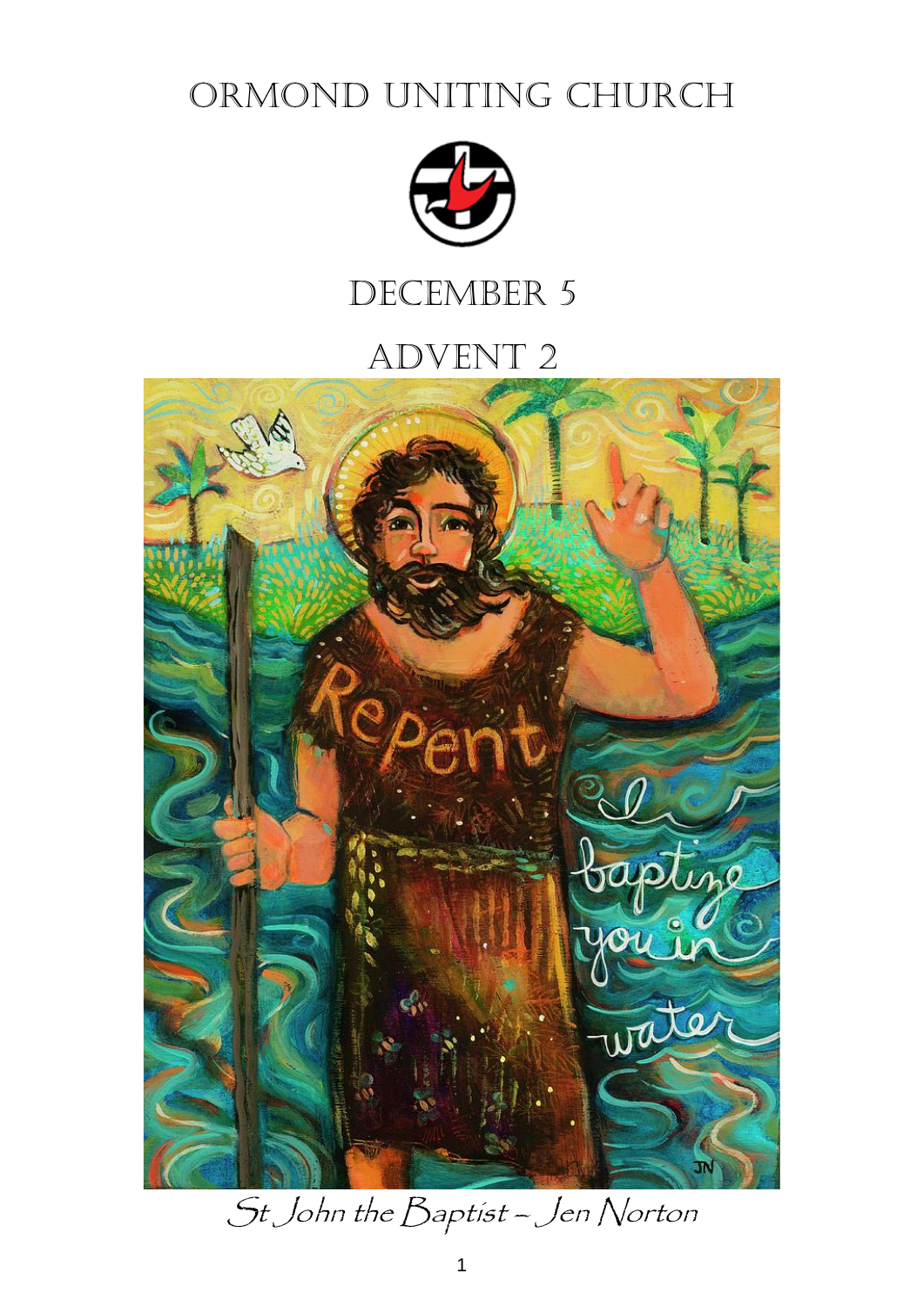ORMOND UNITING CHURCH



# DECEMBER 5

# Advent 2



St John the Baptist – Jen Norton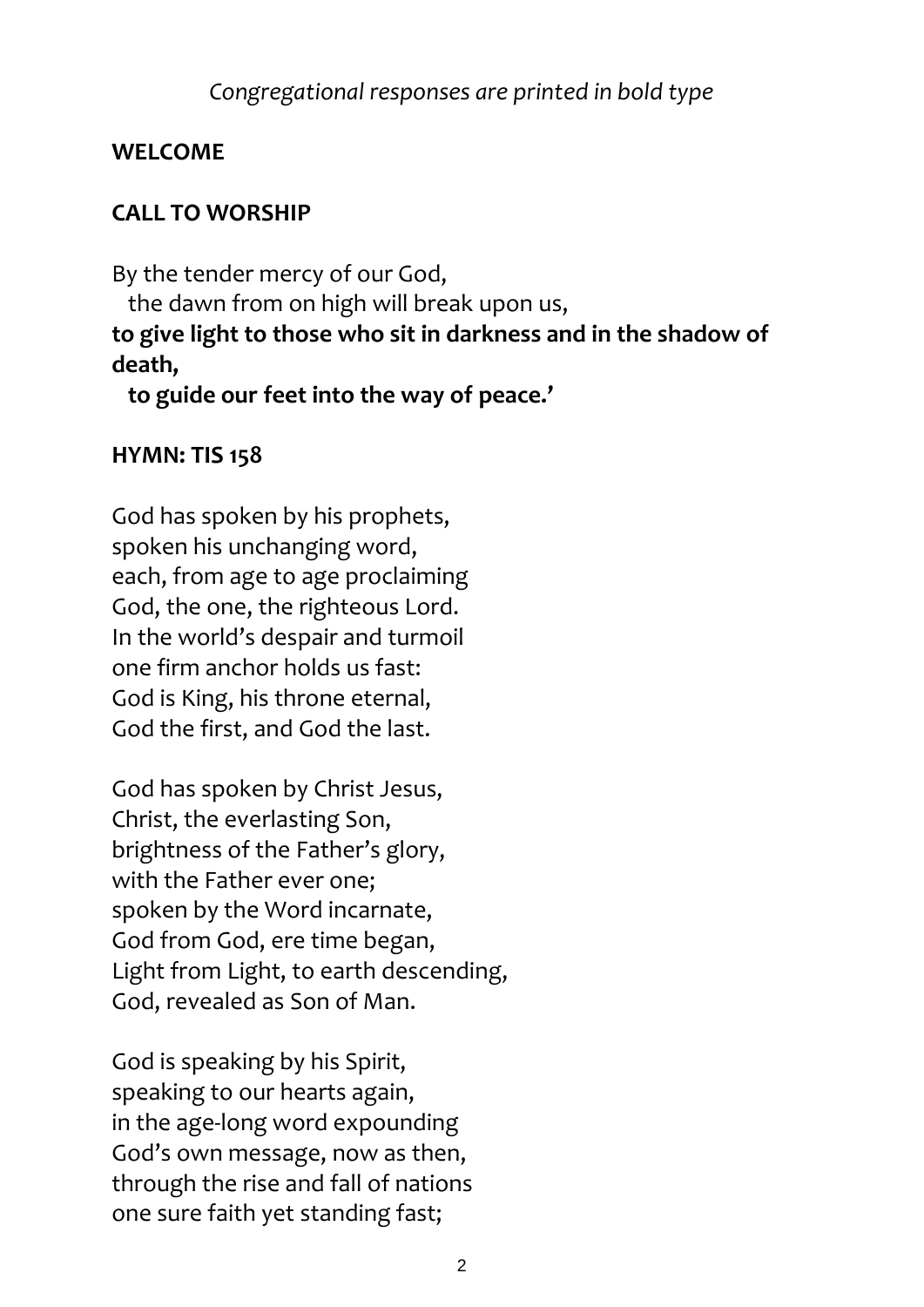## *Congregational responses are printed in bold type*

## **WELCOME**

## **CALL TO WORSHIP**

By the tender mercy of our God,

the dawn from on high will break upon us,

## **to give light to those who sit in darkness and in the shadow of death,**

 **to guide our feet into the way of peace.'**

## **HYMN: TIS 158**

God has spoken by his prophets, spoken his unchanging word, each, from age to age proclaiming God, the one, the righteous Lord. In the world's despair and turmoil one firm anchor holds us fast: God is King, his throne eternal, God the first, and God the last.

God has spoken by Christ Jesus, Christ, the everlasting Son, brightness of the Father's glory, with the Father ever one; spoken by the Word incarnate, God from God, ere time began, Light from Light, to earth descending, God, revealed as Son of Man.

God is speaking by his Spirit, speaking to our hearts again, in the age-long word expounding God's own message, now as then, through the rise and fall of nations one sure faith yet standing fast;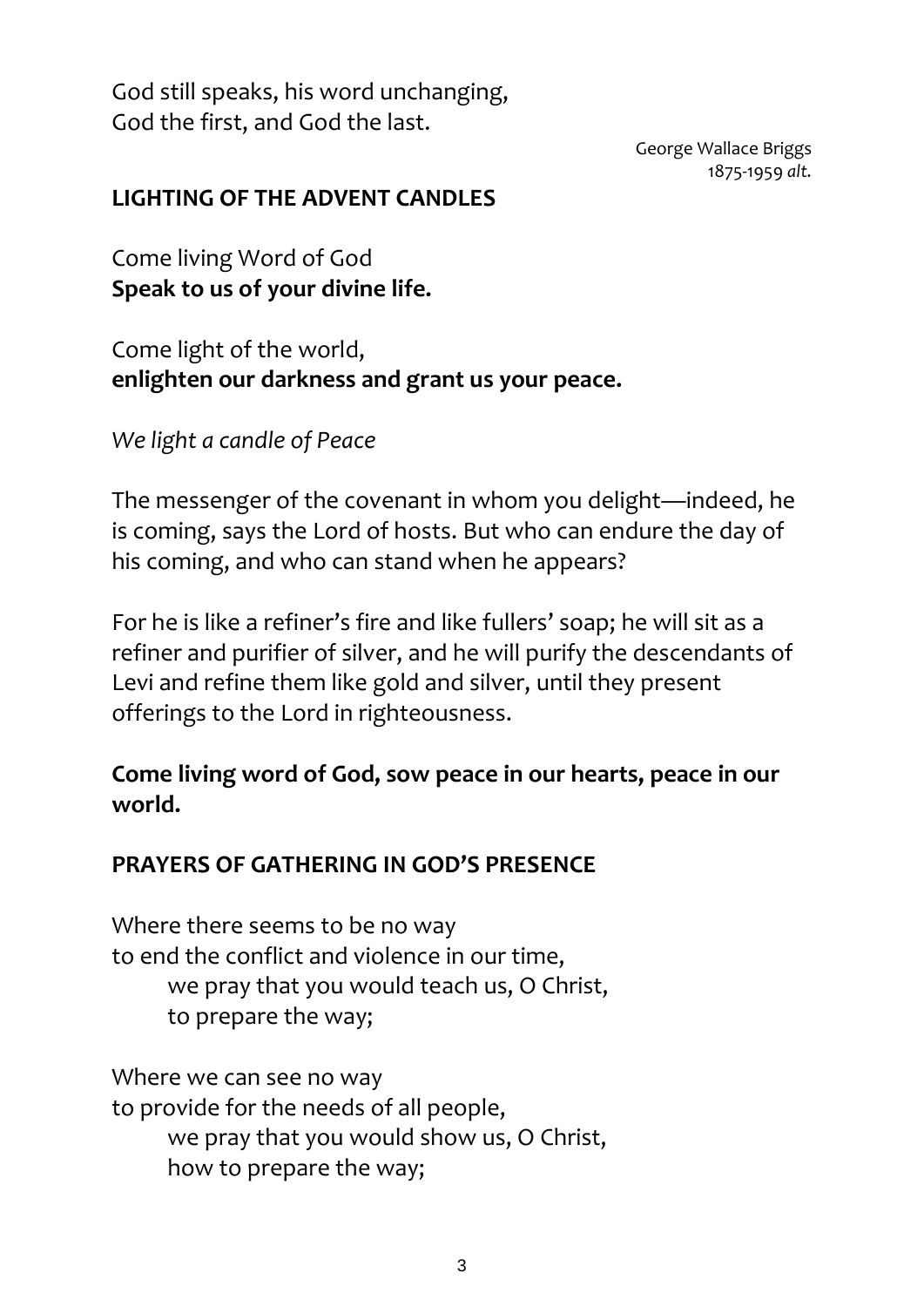God still speaks, his word unchanging, God the first, and God the last.

> George Wallace Briggs 1875-1959 *alt.*

#### **LIGHTING OF THE ADVENT CANDLES**

Come living Word of God **Speak to us of your divine life.**

Come light of the world, **enlighten our darkness and grant us your peace.**

*We light a candle of Peace* 

The messenger of the covenant in whom you delight—indeed, he is coming, says the Lord of hosts. But who can endure the day of his coming, and who can stand when he appears?

For he is like a refiner's fire and like fullers' soap; he will sit as a refiner and purifier of silver, and he will purify the descendants of Levi and refine them like gold and silver, until they present offerings to the Lord in righteousness.

## **Come living word of God, sow peace in our hearts, peace in our world.**

## **PRAYERS OF GATHERING IN GOD'S PRESENCE**

Where there seems to be no way to end the conflict and violence in our time, we pray that you would teach us, O Christ, to prepare the way;

Where we can see no way to provide for the needs of all people, we pray that you would show us, O Christ, how to prepare the way;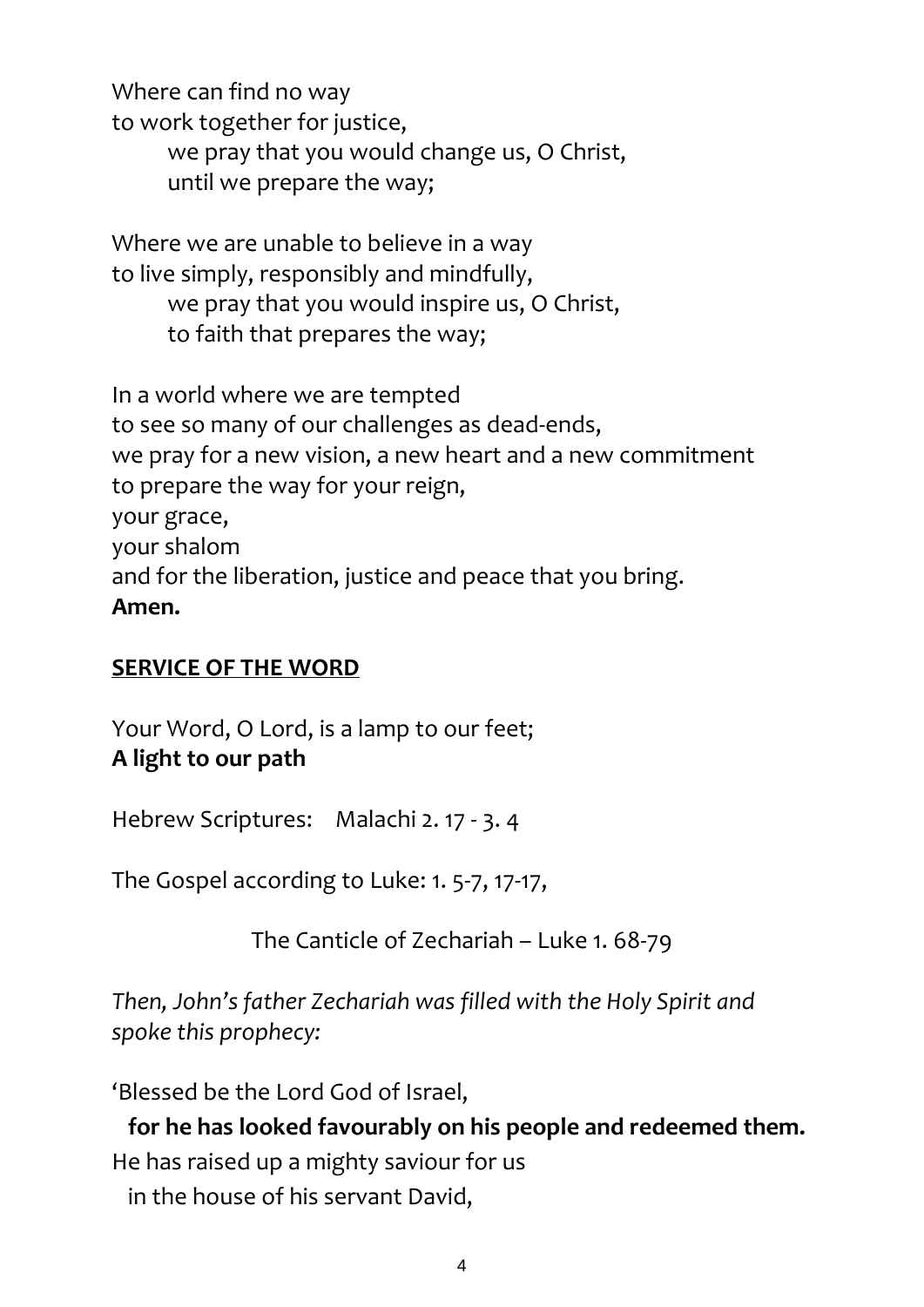Where can find no way to work together for justice, we pray that you would change us, O Christ, until we prepare the way;

Where we are unable to believe in a way to live simply, responsibly and mindfully, we pray that you would inspire us, O Christ, to faith that prepares the way;

In a world where we are tempted to see so many of our challenges as dead-ends, we pray for a new vision, a new heart and a new commitment to prepare the way for your reign, your grace, your shalom and for the liberation, justice and peace that you bring. **Amen.**

## **SERVICE OF THE WORD**

Your Word, O Lord, is a lamp to our feet; **A light to our path**

Hebrew Scriptures: Malachi 2. 17 - 3. 4

The Gospel according to Luke: 1. 5-7, 17-17,

The Canticle of Zechariah – Luke 1. 68-79

*Then, John's father Zechariah was filled with the Holy Spirit and spoke this prophecy:*

'Blessed be the Lord God of Israel,

**for he has looked favourably on his people and redeemed them.** He has raised up a mighty saviour for us in the house of his servant David,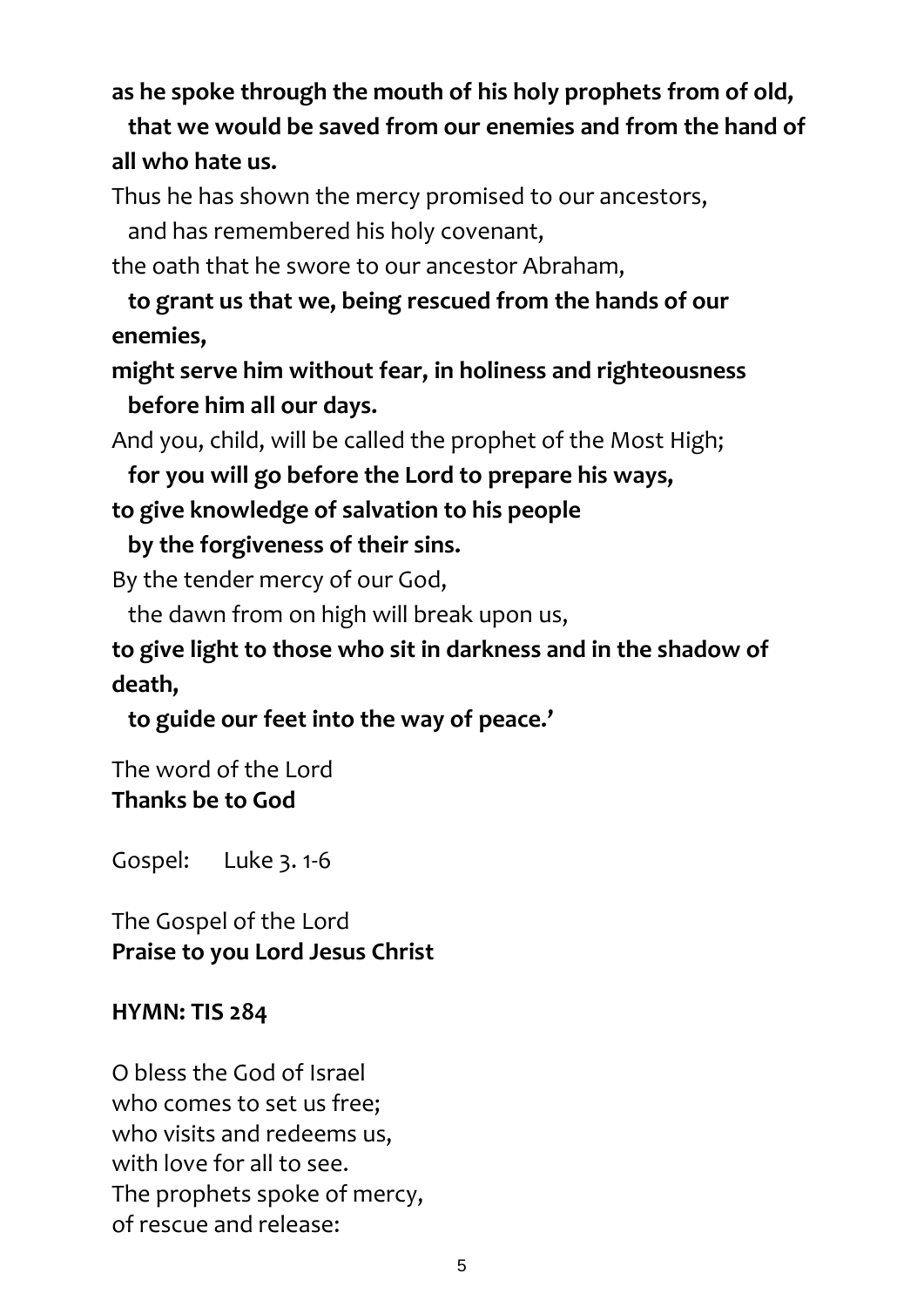## **as he spoke through the mouth of his holy prophets from of old,**

# **that we would be saved from our enemies and from the hand of all who hate us.**

Thus he has shown the mercy promised to our ancestors,

and has remembered his holy covenant,

the oath that he swore to our ancestor Abraham,

**to grant us that we, being rescued from the hands of our enemies,**

**might serve him without fear, in holiness and righteousness before him all our days.**

And you, child, will be called the prophet of the Most High;

**for you will go before the Lord to prepare his ways,**

**to give knowledge of salvation to his people**

 **by the forgiveness of their sins.**

By the tender mercy of our God,

the dawn from on high will break upon us,

**to give light to those who sit in darkness and in the shadow of death,**

 **to guide our feet into the way of peace.'**

The word of the Lord **Thanks be to God**

Gospel: Luke 3. 1-6

The Gospel of the Lord **Praise to you Lord Jesus Christ**

#### **HYMN: TIS 284**

O bless the God of Israel who comes to set us free; who visits and redeems us, with love for all to see. The prophets spoke of mercy, of rescue and release: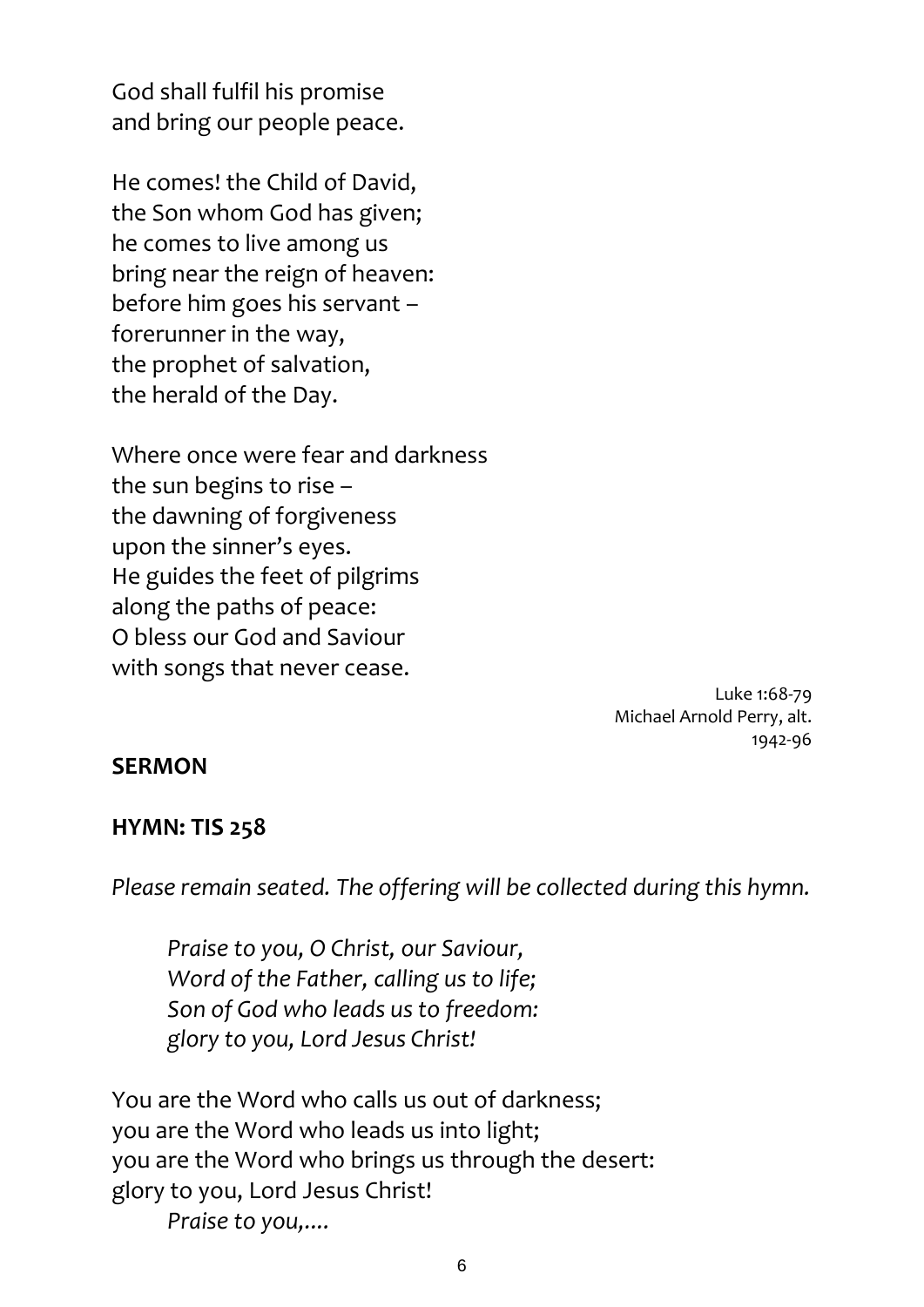God shall fulfil his promise and bring our people peace.

He comes! the Child of David, the Son whom God has given; he comes to live among us bring near the reign of heaven: before him goes his servant – forerunner in the way, the prophet of salvation, the herald of the Day.

Where once were fear and darkness the sun begins to rise – the dawning of forgiveness upon the sinner's eyes. He guides the feet of pilgrims along the paths of peace: O bless our God and Saviour with songs that never cease.

> Luke 1:68-79 Michael Arnold Perry, alt. 1942-96

#### **SERMON**

#### **HYMN: TIS 258**

*Please remain seated. The offering will be collected during this hymn.*

*Praise to you, O Christ, our Saviour, Word of the Father, calling us to life; Son of God who leads us to freedom: glory to you, Lord Jesus Christ!*

You are the Word who calls us out of darkness; you are the Word who leads us into light; you are the Word who brings us through the desert: glory to you, Lord Jesus Christ! *Praise to you,....*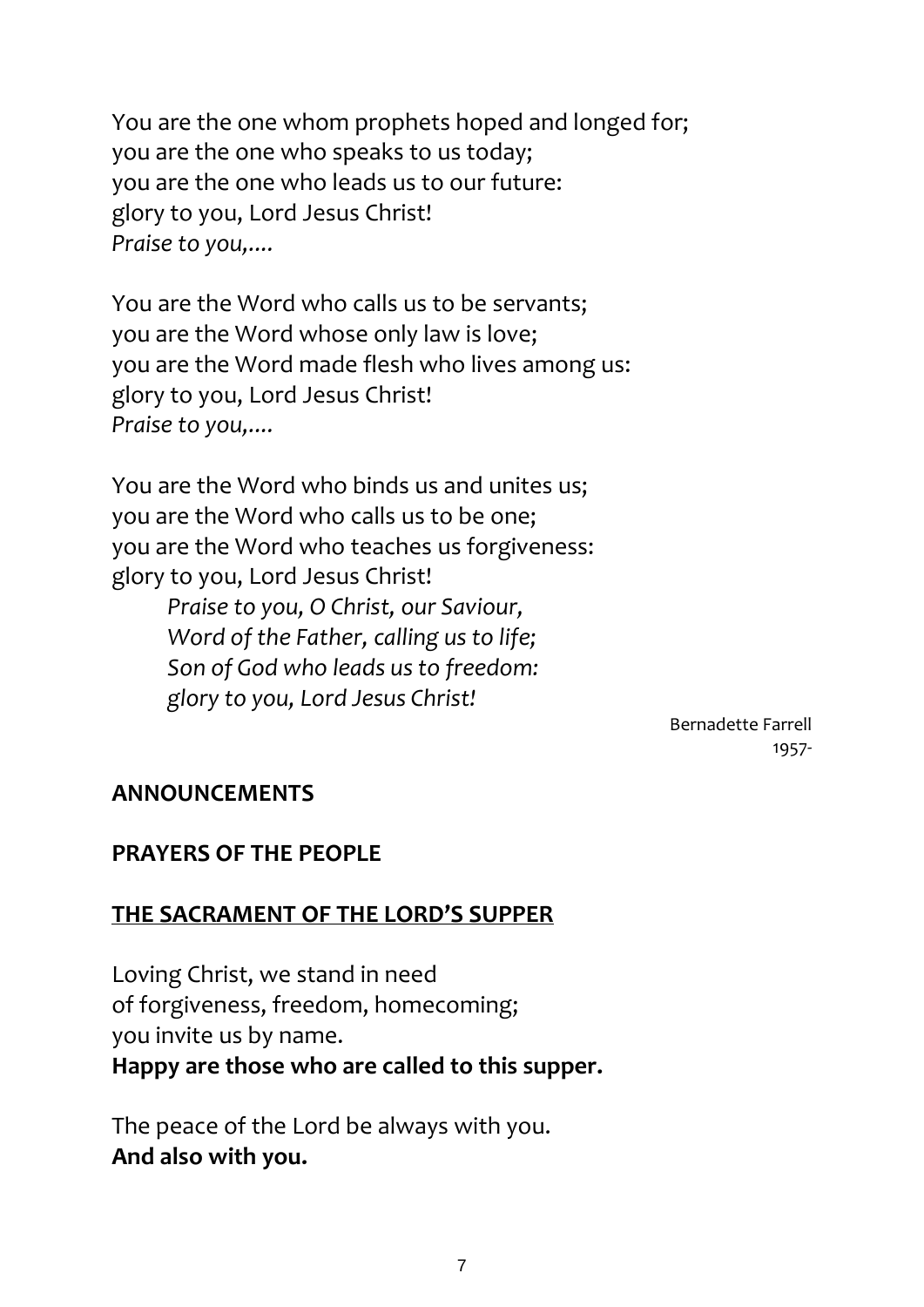You are the one whom prophets hoped and longed for; you are the one who speaks to us today; you are the one who leads us to our future: glory to you, Lord Jesus Christ! *Praise to you,....*

You are the Word who calls us to be servants; you are the Word whose only law is love; you are the Word made flesh who lives among us: glory to you, Lord Jesus Christ! *Praise to you,....*

You are the Word who binds us and unites us; you are the Word who calls us to be one; you are the Word who teaches us forgiveness: glory to you, Lord Jesus Christ!

> *Praise to you, O Christ, our Saviour, Word of the Father, calling us to life; Son of God who leads us to freedom: glory to you, Lord Jesus Christ!*

> > Bernadette Farrell 1957-

#### **ANNOUNCEMENTS**

## **PRAYERS OF THE PEOPLE**

#### **THE SACRAMENT OF THE LORD'S SUPPER**

Loving Christ, we stand in need of forgiveness, freedom, homecoming; you invite us by name. **Happy are those who are called to this supper.**

The peace of the Lord be always with you. **And also with you.**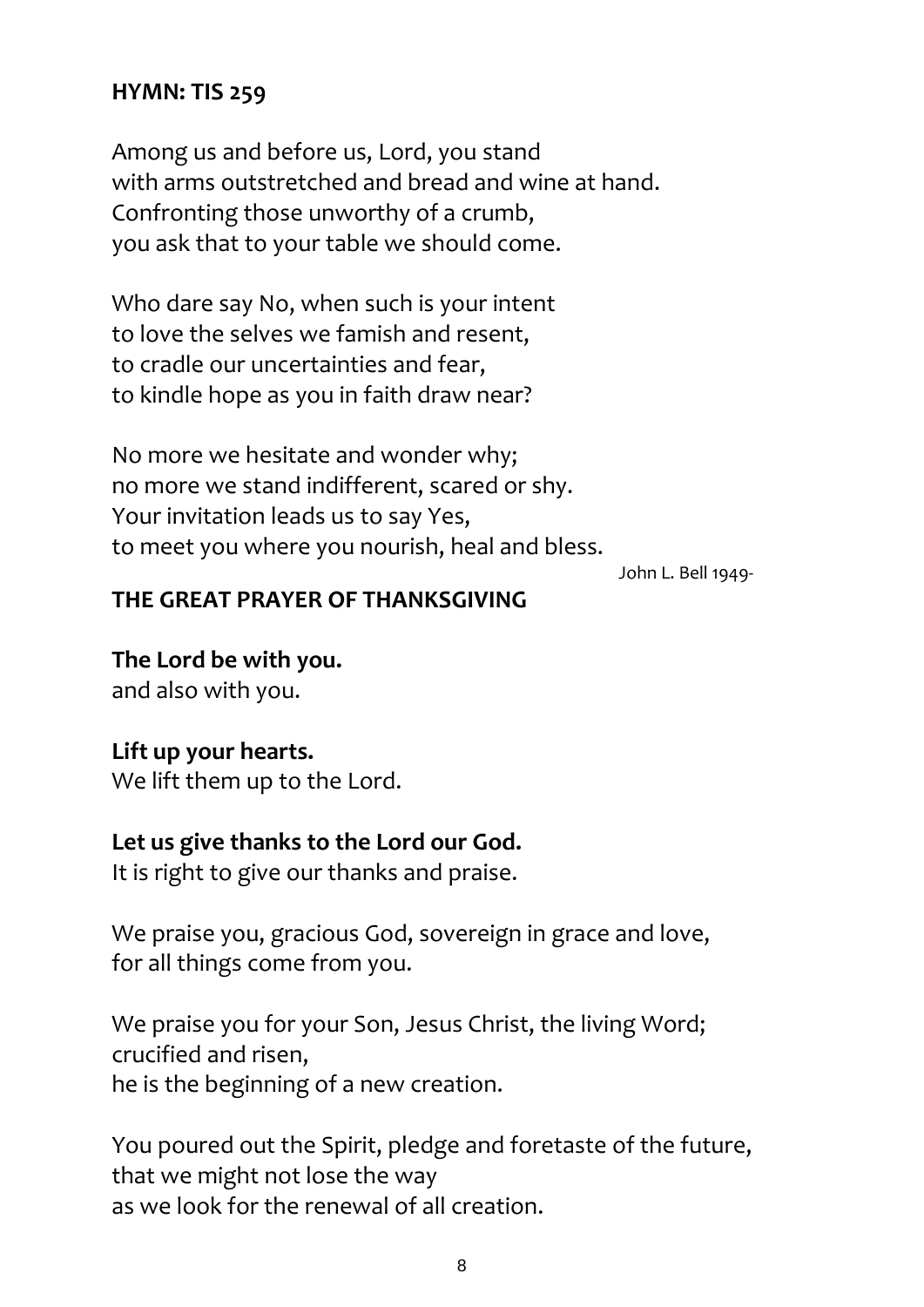#### **HYMN: TIS 259**

Among us and before us, Lord, you stand with arms outstretched and bread and wine at hand. Confronting those unworthy of a crumb, you ask that to your table we should come.

Who dare say No, when such is your intent to love the selves we famish and resent, to cradle our uncertainties and fear, to kindle hope as you in faith draw near?

No more we hesitate and wonder why; no more we stand indifferent, scared or shy. Your invitation leads us to say Yes, to meet you where you nourish, heal and bless.

John L. Bell 1949-

#### **THE GREAT PRAYER OF THANKSGIVING**

**The Lord be with you.** and also with you.

#### **Lift up your hearts.**

We lift them up to the Lord.

#### **Let us give thanks to the Lord our God.**

It is right to give our thanks and praise.

We praise you, gracious God, sovereign in grace and love, for all things come from you.

We praise you for your Son, Jesus Christ, the living Word; crucified and risen, he is the beginning of a new creation.

You poured out the Spirit, pledge and foretaste of the future, that we might not lose the way as we look for the renewal of all creation.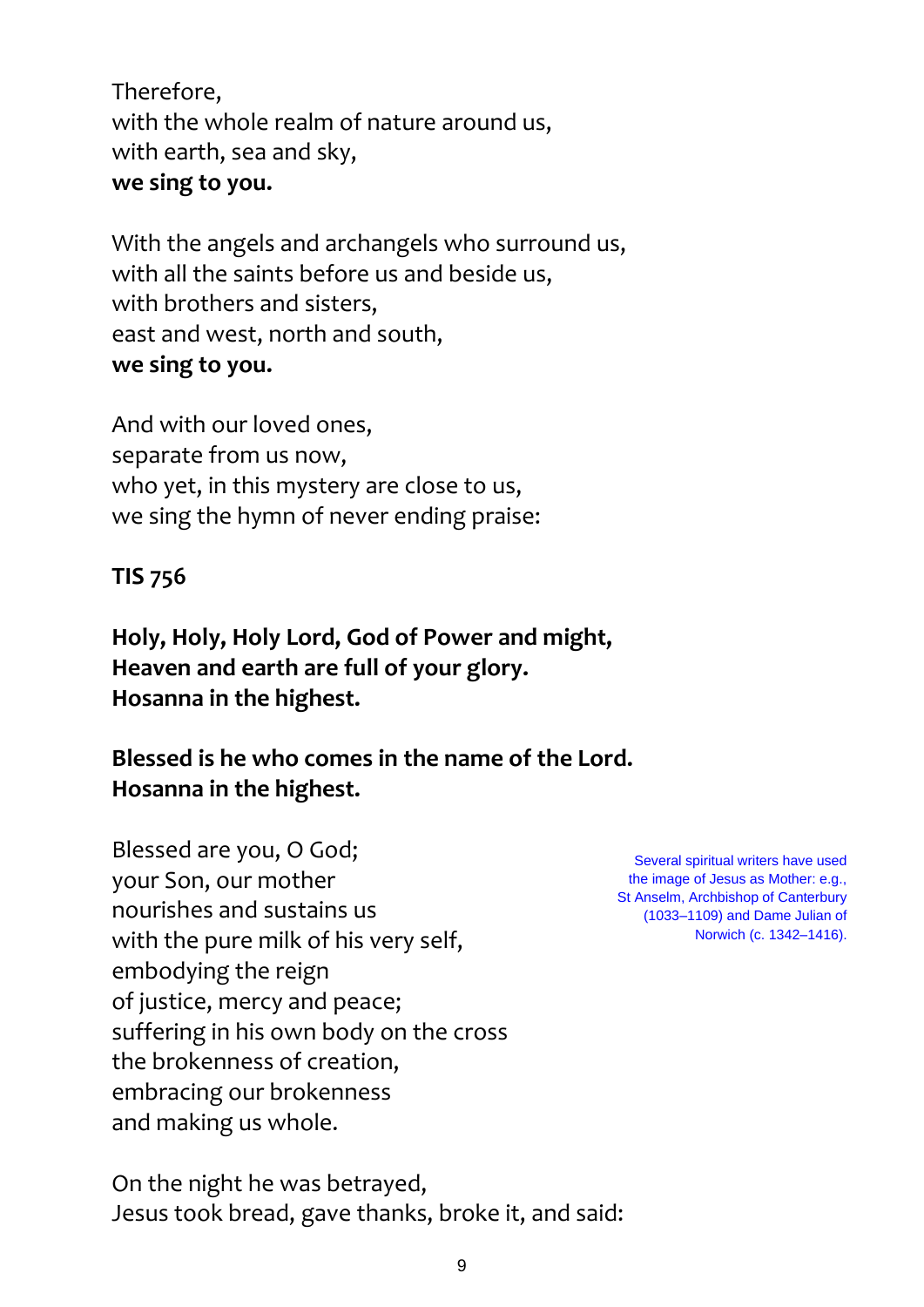Therefore, with the whole realm of nature around us, with earth, sea and sky, **we sing to you.**

With the angels and archangels who surround us, with all the saints before us and beside us, with brothers and sisters, east and west, north and south, **we sing to you.**

And with our loved ones, separate from us now, who yet, in this mystery are close to us, we sing the hymn of never ending praise:

## **TIS 756**

**Holy, Holy, Holy Lord, God of Power and might, Heaven and earth are full of your glory. Hosanna in the highest.**

## **Blessed is he who comes in the name of the Lord. Hosanna in the highest.**

Blessed are you, O God; your Son, our mother nourishes and sustains us with the pure milk of his very self, embodying the reign of justice, mercy and peace; suffering in his own body on the cross the brokenness of creation, embracing our brokenness and making us whole.

Several spiritual writers have used the image of Jesus as Mother: e.g., St Anselm, Archbishop of Canterbury (1033–1109) and Dame Julian of Norwich (c. 1342–1416).

On the night he was betrayed, Jesus took bread, gave thanks, broke it, and said: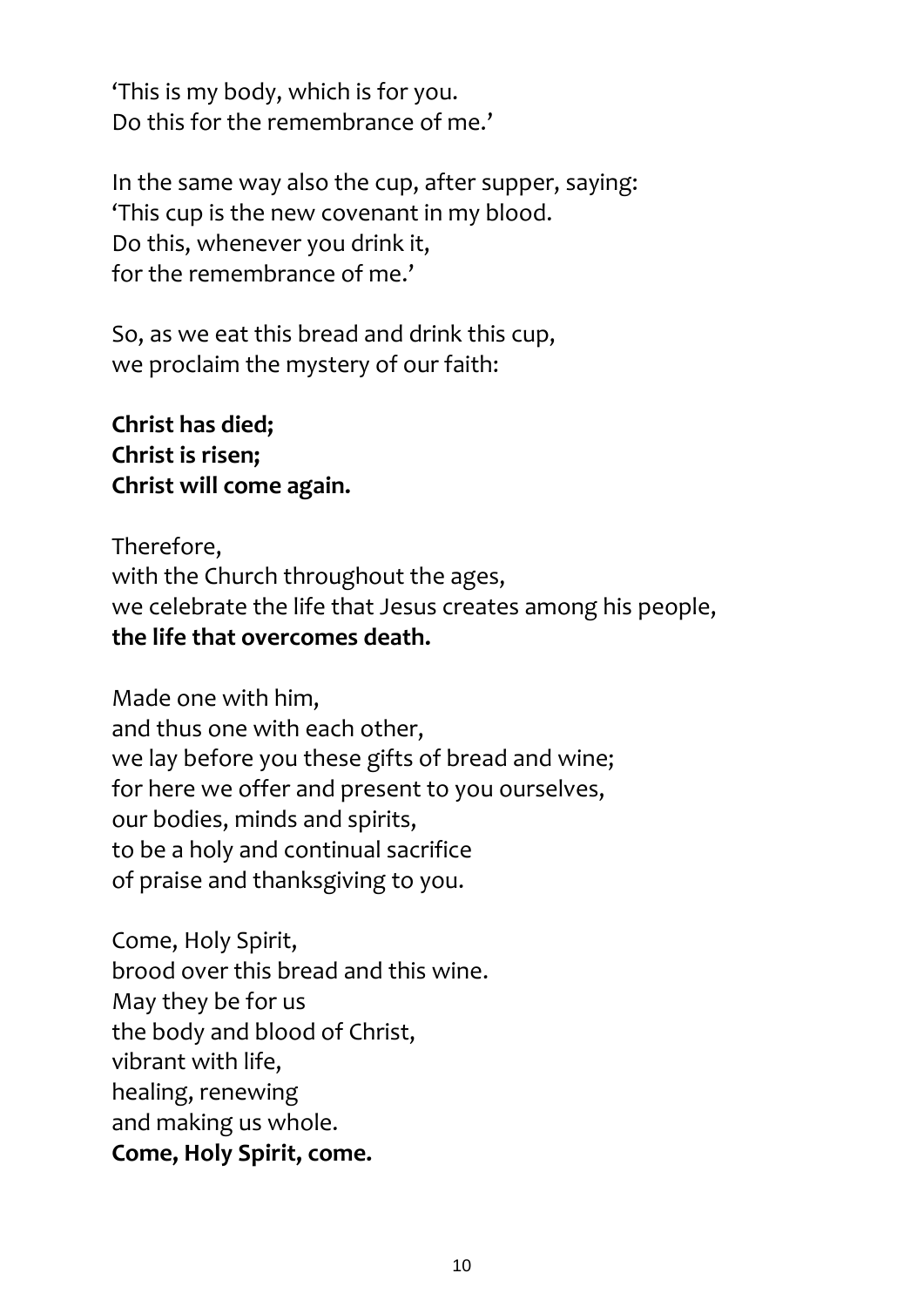'This is my body, which is for you. Do this for the remembrance of me.'

In the same way also the cup, after supper, saying: 'This cup is the new covenant in my blood. Do this, whenever you drink it, for the remembrance of me.'

So, as we eat this bread and drink this cup, we proclaim the mystery of our faith:

**Christ has died; Christ is risen; Christ will come again.**

Therefore, with the Church throughout the ages, we celebrate the life that Jesus creates among his people, **the life that overcomes death.**

Made one with him, and thus one with each other, we lay before you these gifts of bread and wine; for here we offer and present to you ourselves, our bodies, minds and spirits, to be a holy and continual sacrifice of praise and thanksgiving to you.

Come, Holy Spirit, brood over this bread and this wine. May they be for us the body and blood of Christ, vibrant with life, healing, renewing and making us whole. **Come, Holy Spirit, come.**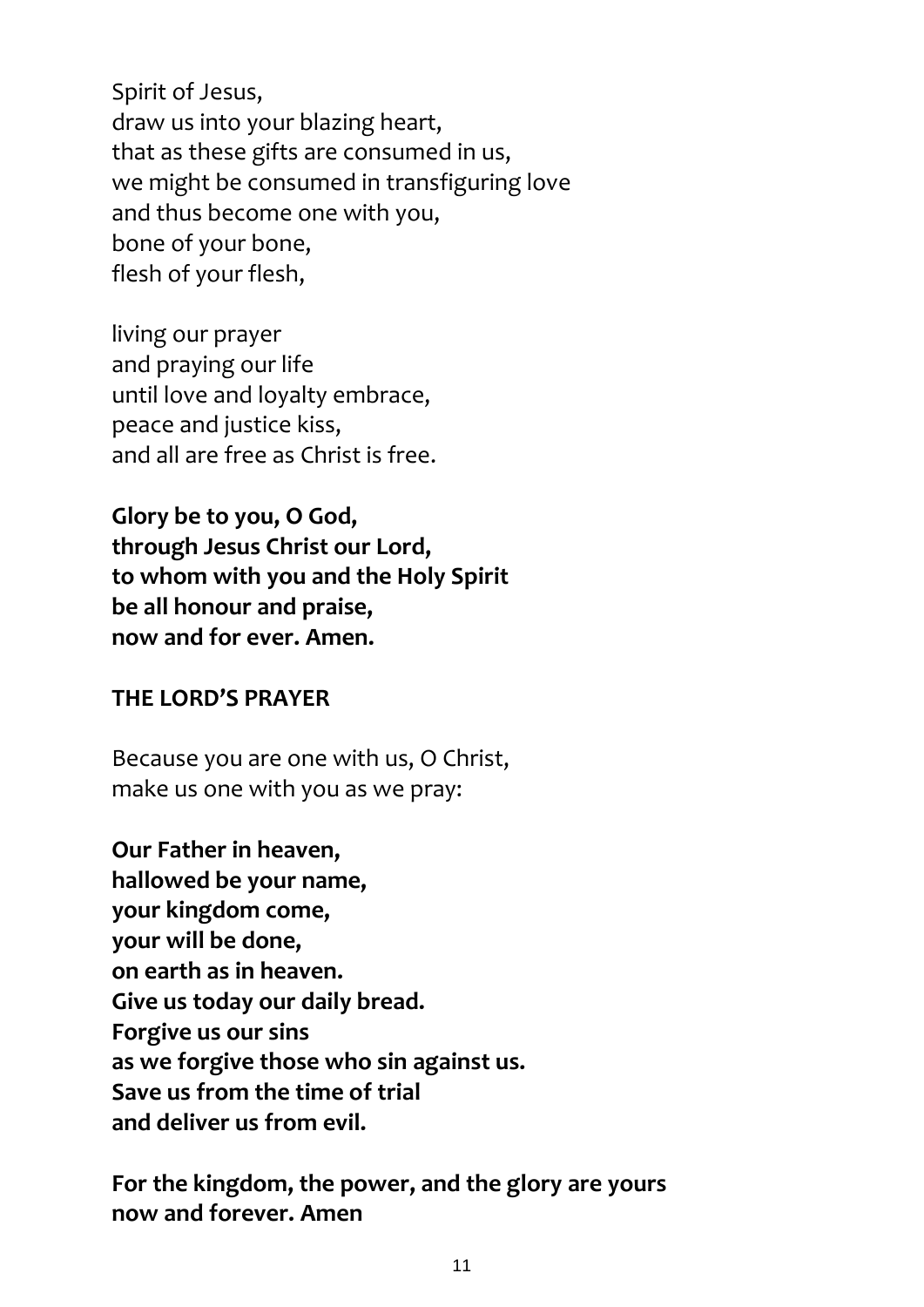Spirit of Jesus, draw us into your blazing heart, that as these gifts are consumed in us, we might be consumed in transfiguring love and thus become one with you, bone of your bone, flesh of your flesh,

living our prayer and praying our life until love and loyalty embrace, peace and justice kiss, and all are free as Christ is free.

**Glory be to you, O God, through Jesus Christ our Lord, to whom with you and the Holy Spirit be all honour and praise, now and for ever. Amen.**

#### **THE LORD'S PRAYER**

Because you are one with us, O Christ, make us one with you as we pray:

**Our Father in heaven, hallowed be your name, your kingdom come, your will be done, on earth as in heaven. Give us today our daily bread. Forgive us our sins as we forgive those who sin against us. Save us from the time of trial and deliver us from evil.**

**For the kingdom, the power, and the glory are yours now and forever. Amen**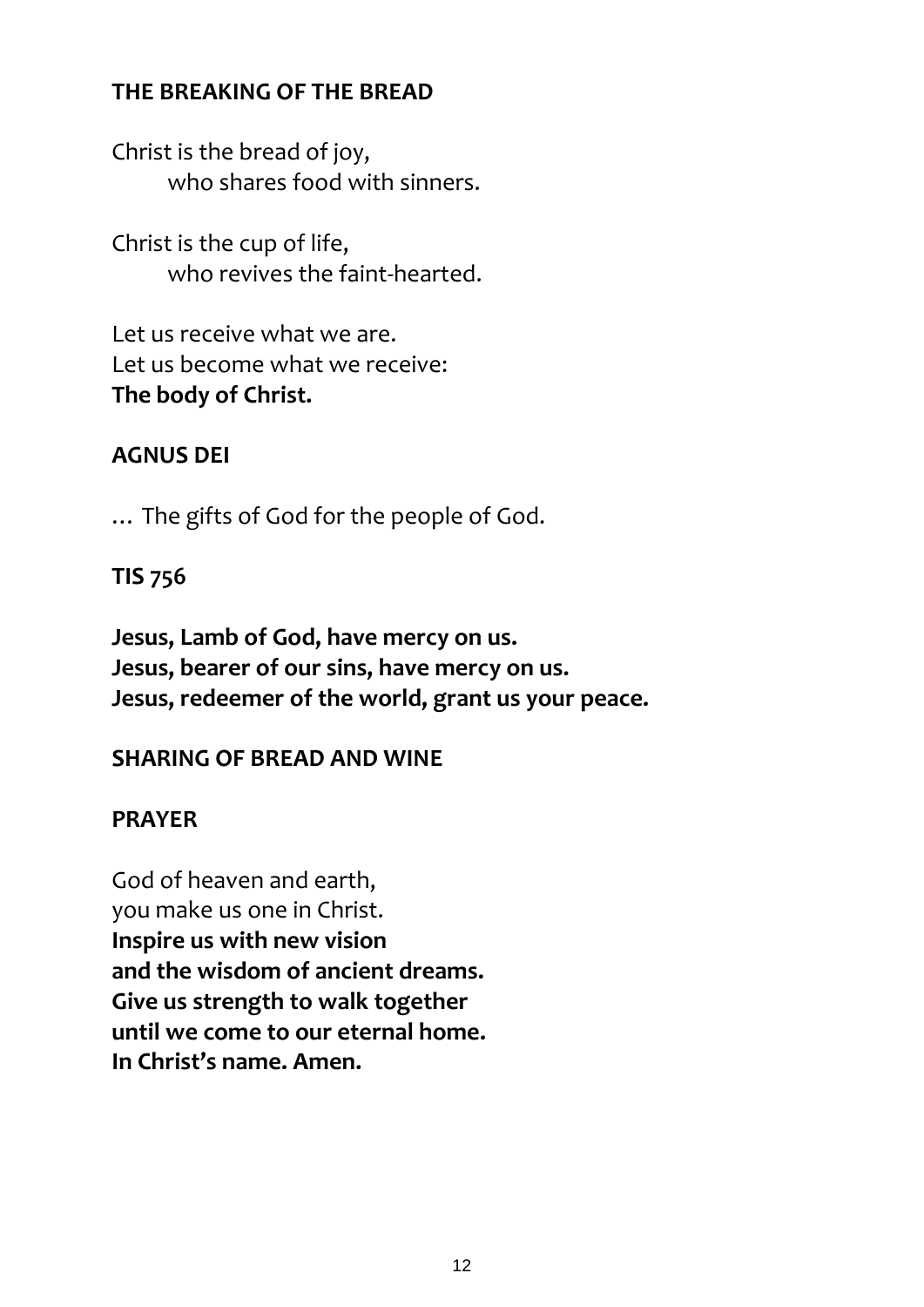## **THE BREAKING OF THE BREAD**

Christ is the bread of joy, who shares food with sinners.

Christ is the cup of life, who revives the faint-hearted.

Let us receive what we are. Let us become what we receive: **The body of Christ.**

## **AGNUS DEI**

… The gifts of God for the people of God.

### **TIS 756**

**Jesus, Lamb of God, have mercy on us. Jesus, bearer of our sins, have mercy on us. Jesus, redeemer of the world, grant us your peace.**

## **SHARING OF BREAD AND WINE**

## **PRAYER**

God of heaven and earth, you make us one in Christ. **Inspire us with new vision and the wisdom of ancient dreams. Give us strength to walk together until we come to our eternal home. In Christ's name. Amen.**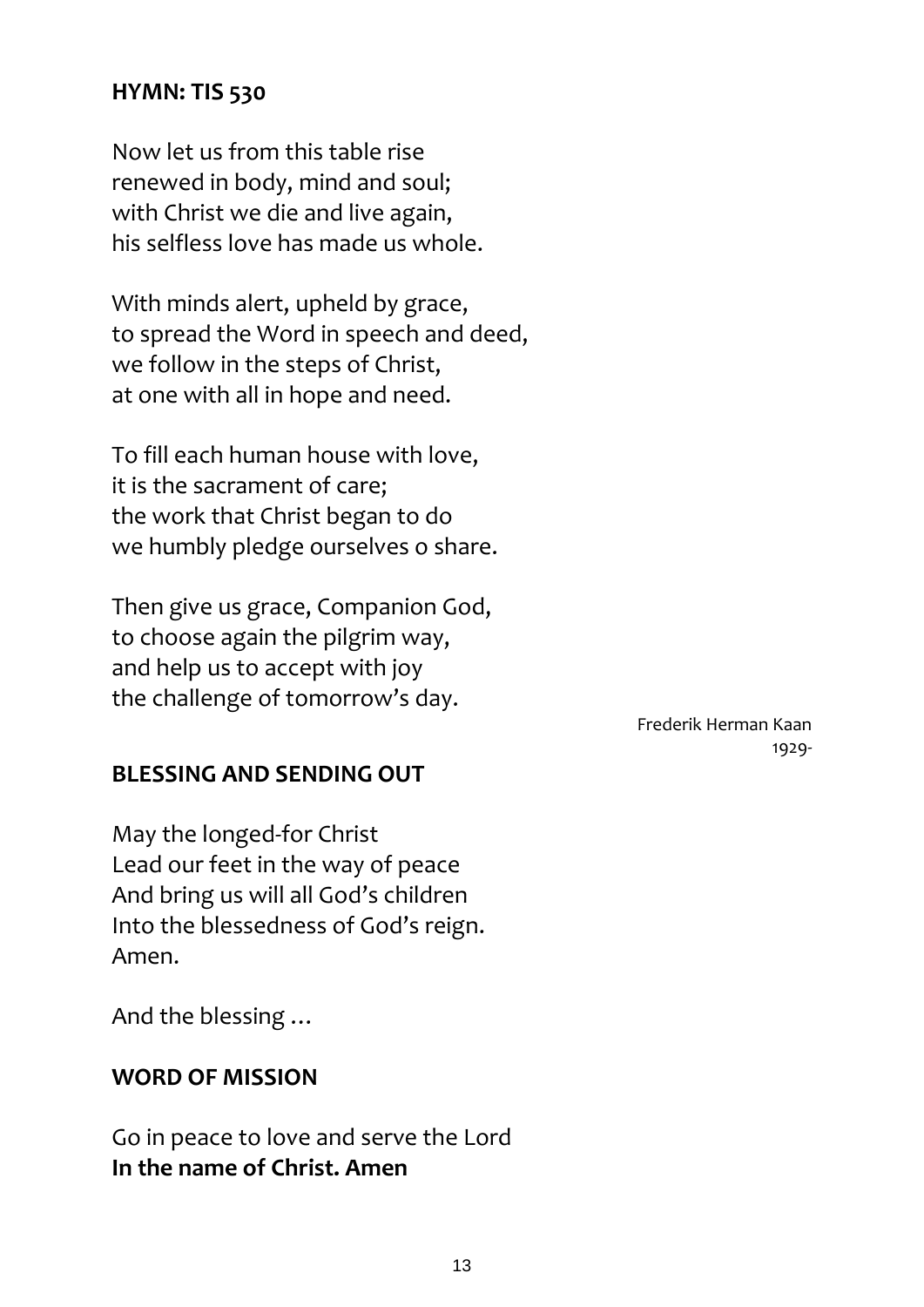#### **HYMN: TIS 530**

Now let us from this table rise renewed in body, mind and soul; with Christ we die and live again, his selfless love has made us whole.

With minds alert, upheld by grace, to spread the Word in speech and deed, we follow in the steps of Christ, at one with all in hope and need.

To fill each human house with love, it is the sacrament of care; the work that Christ began to do we humbly pledge ourselves o share.

Then give us grace, Companion God, to choose again the pilgrim way, and help us to accept with joy the challenge of tomorrow's day.

> Frederik Herman Kaan 1929-

#### **BLESSING AND SENDING OUT**

May the longed-for Christ Lead our feet in the way of peace And bring us will all God's children Into the blessedness of God's reign. Amen.

And the blessing …

#### **WORD OF MISSION**

Go in peace to love and serve the Lord **In the name of Christ. Amen**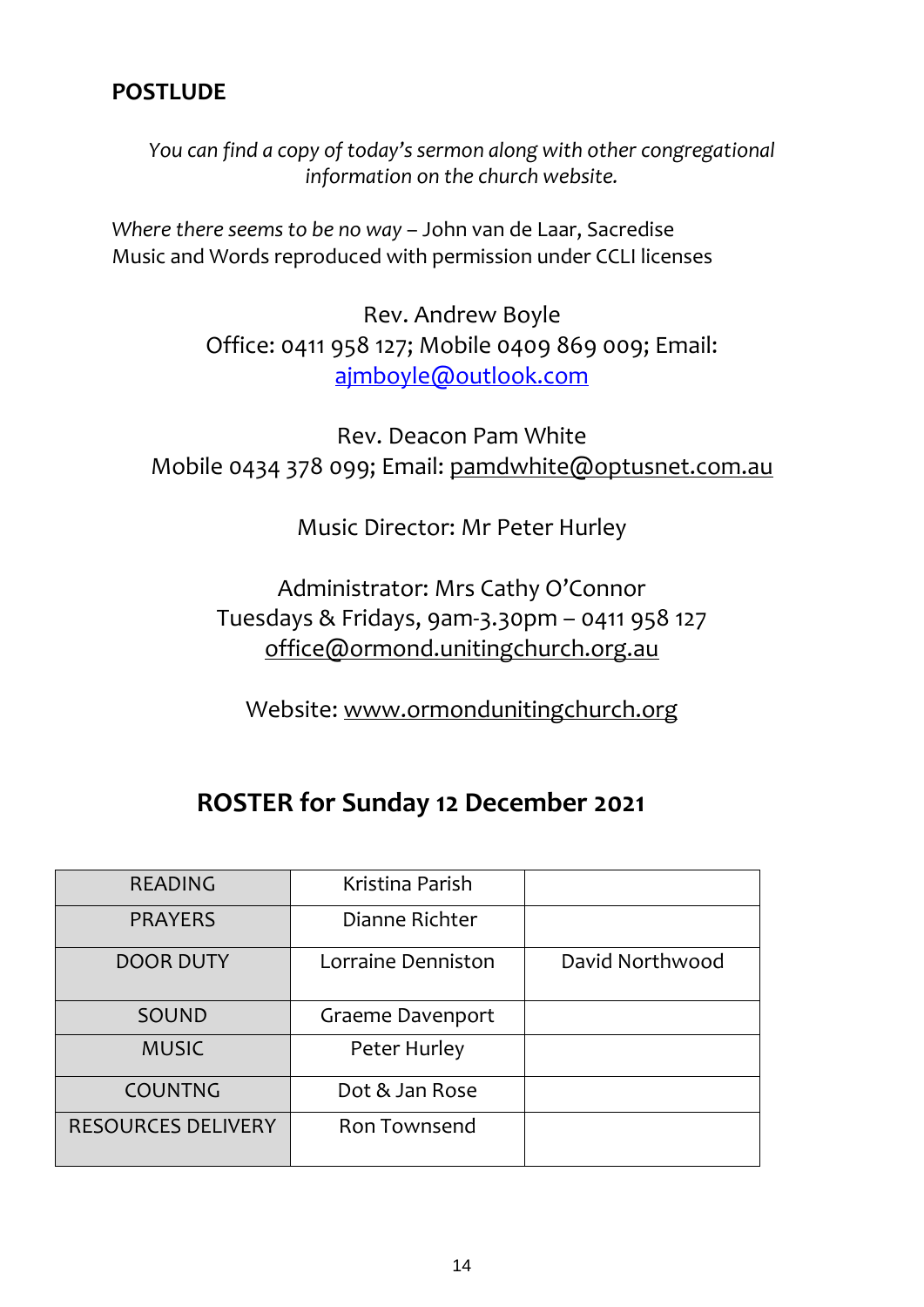### **POSTLUDE**

*You can find a copy of today's sermon along with other congregational information on the church website.*

*Where there seems to be no way* – John van de Laar, Sacredise Music and Words reproduced with permission under CCLI licenses

> Rev. Andrew Boyle Office: 0411 958 127; Mobile 0409 869 009; Email: [ajmboyle@outlook.com](mailto:ajmboyle@outlook.com)

Rev. Deacon Pam White Mobile 0434 378 099; Email: [pamdwhite@optusnet.com.au](mailto:pamdwhite@optusnet.com.au)

Music Director: Mr Peter Hurley

Administrator: Mrs Cathy O'Connor Tuesdays & Fridays, 9am-3.30pm – 0411 958 127 [office@ormond.unitingchurch.org.au](mailto:office@ormond.unitingchurch.org.au)

Website: [www.ormondunitingchurch.org](http://www.ormondunitingchurch.org/)

# **ROSTER for Sunday 12 December 2021**

| <b>READING</b>            | Kristina Parish    |                 |
|---------------------------|--------------------|-----------------|
| <b>PRAYERS</b>            | Dianne Richter     |                 |
| <b>DOOR DUTY</b>          | Lorraine Denniston | David Northwood |
| SOUND                     | Graeme Davenport   |                 |
| <b>MUSIC</b>              | Peter Hurley       |                 |
| <b>COUNTNG</b>            | Dot & Jan Rose     |                 |
| <b>RESOURCES DELIVERY</b> | Ron Townsend       |                 |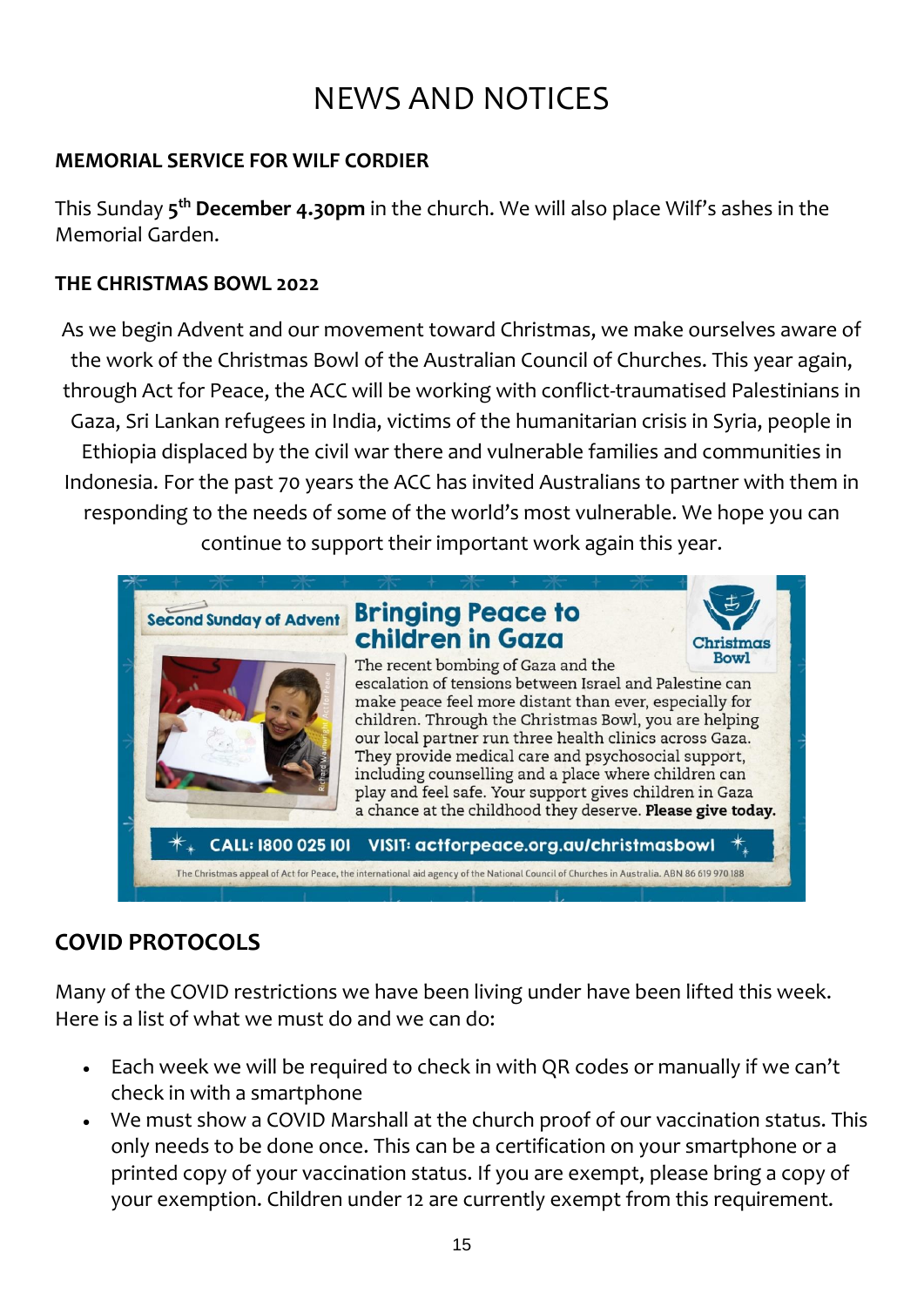# NEWS AND NOTICES

### **MEMORIAL SERVICE FOR WILF CORDIER**

This Sunday **5 th December 4.30pm** in the church. We will also place Wilf's ashes in the Memorial Garden.

#### **THE CHRISTMAS BOWL 2022**

As we begin Advent and our movement toward Christmas, we make ourselves aware of the work of the Christmas Bowl of the Australian Council of Churches. This year again, through Act for Peace, the ACC will be working with conflict-traumatised Palestinians in Gaza, Sri Lankan refugees in India, victims of the humanitarian crisis in Syria, people in Ethiopia displaced by the civil war there and vulnerable families and communities in Indonesia. For the past 70 years the ACC has invited Australians to partner with them in responding to the needs of some of the world's most vulnerable. We hope you can continue to support their important work again this year.



## **COVID PROTOCOLS**

Many of the COVID restrictions we have been living under have been lifted this week. Here is a list of what we must do and we can do:

- Each week we will be required to check in with QR codes or manually if we can't check in with a smartphone
- We must show a COVID Marshall at the church proof of our vaccination status. This only needs to be done once. This can be a certification on your smartphone or a printed copy of your vaccination status. If you are exempt, please bring a copy of your exemption. Children under 12 are currently exempt from this requirement.